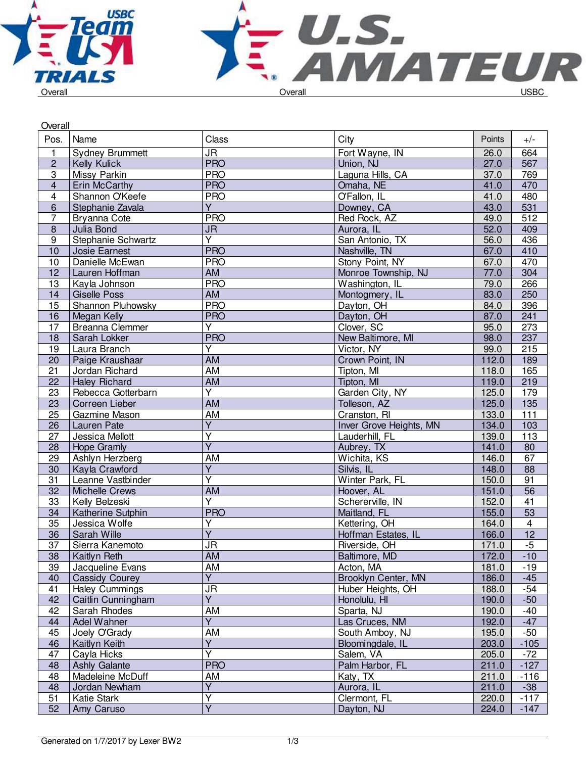

| Overall                 |                        |                         |                         |        |                         |
|-------------------------|------------------------|-------------------------|-------------------------|--------|-------------------------|
| Pos.                    | Name                   | Class                   | City                    | Points | $+/-$                   |
| $\mathbf{1}$            | <b>Sydney Brummett</b> | <b>JR</b>               | Fort Wayne, IN          | 26.0   | 664                     |
| $\overline{c}$          | Kelly Kulick           | <b>PRO</b>              | Union, NJ               | 27.0   | 567                     |
| $\overline{3}$          | Missy Parkin           | <b>PRO</b>              | Laguna Hills, CA        | 37.0   | 769                     |
| $\overline{4}$          | Erin McCarthy          | <b>PRO</b>              | Omaha, NE               | 41.0   | 470                     |
| $\overline{\mathbf{4}}$ | Shannon O'Keefe        | <b>PRO</b>              | O'Fallon, IL            | 41.0   | 480                     |
| $6\phantom{1}$          | Stephanie Zavala       | $\overline{Y}$          | Downey, CA              | 43.0   | $\overline{531}$        |
| $\overline{7}$          | Bryanna Cote           | <b>PRO</b>              | Red Rock, AZ            | 49.0   | 512                     |
| $\overline{8}$          | Julia Bond             | <b>JR</b>               | Aurora, IL              | 52.0   | 409                     |
| 9                       | Stephanie Schwartz     | Y                       | San Antonio, TX         | 56.0   | 436                     |
| 10                      | Josie Earnest          | <b>PRO</b>              | Nashville, TN           | 67.0   | 410                     |
| 10                      | Danielle McEwan        | <b>PRO</b>              | Stony Point, NY         | 67.0   | 470                     |
| 12                      | Lauren Hoffman         | AM                      | Monroe Township, NJ     | 77.0   | 304                     |
| 13                      | Kayla Johnson          | <b>PRO</b>              | Washington, IL          | 79.0   | 266                     |
| 14                      | <b>Giselle Poss</b>    | <b>AM</b>               | Montogmery, IL          | 83.0   | 250                     |
| 15                      | Shannon Pluhowsky      | <b>PRO</b>              | Dayton, OH              | 84.0   | 396                     |
| 16                      | Megan Kelly            | <b>PRO</b>              | Dayton, OH              | 87.0   | 241                     |
| 17                      | <b>Breanna Clemmer</b> | Y                       | Clover, SC              | 95.0   | 273                     |
| 18                      | Sarah Lokker           | <b>PRO</b>              | New Baltimore, MI       | 98.0   | 237                     |
| 19                      | Laura Branch           | Y                       | Victor, NY              | 99.0   | 215                     |
| 20                      | Paige Kraushaar        | AM                      | Crown Point, IN         | 112.0  | 189                     |
| $\overline{21}$         | Jordan Richard         | AM                      | Tipton, MI              | 118.0  | 165                     |
| $\overline{22}$         | <b>Haley Richard</b>   | <b>AM</b>               | Tipton, MI              | 119.0  | 219                     |
| 23                      | Rebecca Gotterbarn     | $\overline{Y}$          | Garden City, NY         | 125.0  | 179                     |
| 23                      | Correen Lieber         | <b>AM</b>               | Tolleson, AZ            | 125.0  | $\overline{135}$        |
| 25                      | Gazmine Mason          | AM                      | Cranston, RI            | 133.0  | 111                     |
| 26                      | Lauren Pate            | $\overline{Y}$          | Inver Grove Heights, MN | 134.0  | $\frac{103}{2}$         |
| $\overline{27}$         | Jessica Mellott        | $\overline{\mathsf{Y}}$ | Lauderhill, FL          | 139.0  | 113                     |
| 28                      | <b>Hope Gramly</b>     | $\overline{\mathsf{Y}}$ | Aubrey, TX              | 141.0  | 80                      |
| 29                      | Ashlyn Herzberg        | AM                      | Wichita, KS             | 146.0  | 67                      |
| 30                      | Kayla Crawford         | Υ                       | Silvis, IL              | 148.0  | 88                      |
| $\overline{31}$         | Leanne Vastbinder      | $\overline{\mathsf{Y}}$ | Winter Park, FL         | 150.0  | 91                      |
| $\overline{32}$         | <b>Michelle Crews</b>  | <b>AM</b>               | Hoover, AL              | 151.0  | $\overline{56}$         |
| 33                      | Kelly Belzeski         | $\overline{Y}$          | Schererville, IN        | 152.0  | 41                      |
| 34                      | Katherine Sutphin      | <b>PRO</b>              | Maitland, FL            | 155.0  | $\overline{53}$         |
| 35                      | Jessica Wolfe          | Υ                       | Kettering, OH           | 164.0  | $\overline{\mathbf{4}}$ |
| 36                      | Sarah Wille            | $\overline{\mathsf{Y}}$ | Hoffman Estates, IL     | 166.0  | $\overline{12}$         |
| $\overline{37}$         | Sierra Kanemoto        | <b>JR</b>               | Riverside, OH           | 171.0  | $-5$                    |
| 38                      | Kaitlyn Reth           | AM                      | Baltimore, MD           | 172.0  | $-10$                   |
| 39                      | Jacqueline Evans       | AM                      | Acton, MA               | 181.0  | $-19$                   |
| 40                      | <b>Cassidy Courey</b>  | Y                       | Brooklyn Center, MN     | 186.0  | $-45$                   |
| 41                      | <b>Haley Cummings</b>  | <b>JR</b>               | Huber Heights, OH       | 188.0  | $-54$                   |
| 42                      | Caitlin Cunningham     | $\overline{Y}$          | Honolulu, HI            | 190.0  | $-50$                   |
| 42                      | Sarah Rhodes           | <b>AM</b>               | Sparta, NJ              | 190.0  | $-40$                   |
| 44                      | Adel Wahner            | $\overline{\mathsf{Y}}$ | Las Cruces, NM          | 192.0  | $-47$                   |
| 45                      | Joely O'Grady          | AM                      | South Amboy, NJ         | 195.0  | $-50$                   |
| 46                      | Kaitlyn Keith          | $\overline{Y}$          | Bloomingdale, IL        | 203.0  | $-105$                  |
| 47                      | Cayla Hicks            | $\overline{\mathsf{Y}}$ | Salem, VA               | 205.0  | $-72$                   |
| 48                      | Ashly Galante          | <b>PRO</b>              | Palm Harbor, FL         | 211.0  | $-127$                  |
| 48                      | Madeleine McDuff       | AM                      | Katy, TX                | 211.0  | $-116$                  |
| 48                      | Jordan Newham          | Υ                       | Aurora, IL              | 211.0  | $-38$                   |
| 51                      | Katie Stark            | Y                       | Clermont, FL            | 220.0  | $-117$                  |
| 52                      | Amy Caruso             | $\overline{Y}$          | Dayton, NJ              | 224.0  | $-147$                  |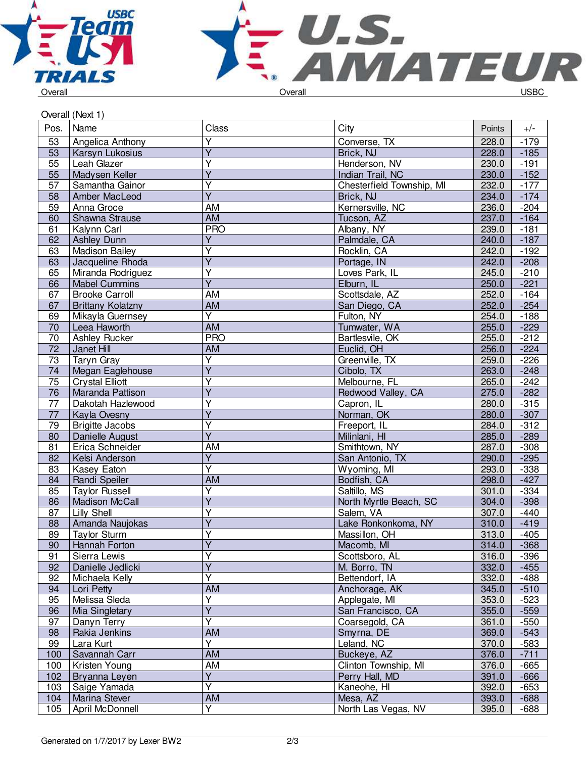



| Overall (Next 1) |  |  |
|------------------|--|--|

| Pos.            | Name                          | Class                   | City                         | Points         | $+/-$            |
|-----------------|-------------------------------|-------------------------|------------------------------|----------------|------------------|
| 53              | Angelica Anthony              | $\overline{Y}$          | Converse, TX                 | 228.0          | $-179$           |
| 53              | Karsyn Lukosius               | $\overline{\mathsf{Y}}$ | Brick, NJ                    | 228.0          | $-185$           |
| 55              | Leah Glazer                   | Y                       | Henderson, NV                | 230.0          | $-191$           |
| 55              | Madysen Keller                | Ÿ                       | Indian Trail, NC             | 230.0          | $-152$           |
| 57              | Samantha Gainor               | Υ                       | Chesterfield Township, MI    | 232.0          | $-177$           |
| 58              | Amber MacLeod                 | Ÿ                       | Brick, NJ                    | 234.0          | $-174$           |
| 59              | Anna Groce                    | <b>AM</b>               | Kernersville, NC             | 236.0          | $-204$           |
| 60              | Shawna Strause                | AM                      | Tucson, AZ                   | 237.0          | $-164$           |
| 61              | Kalynn Carl                   | <b>PRO</b>              | Albany, NY                   | 239.0          | $-181$           |
| 62              | <b>Ashley Dunn</b>            | Υ                       | Palmdale, CA                 | 240.0          | $-187$           |
| 63              | <b>Madison Bailey</b>         | Ÿ                       | Rocklin, CA                  | 242.0          | $-192$           |
| 63              | Jacqueline Rhoda              | $\overline{\mathsf{Y}}$ | Portage, IN                  | 242.0          | $-208$           |
| 65              | Miranda Rodriguez             | Ÿ                       | Loves Park, IL               | 245.0          | $-210$           |
| 66              | <b>Mabel Cummins</b>          | $\overline{Y}$          | Elburn, IL                   | 250.0          | $-221$           |
| 67              | <b>Brooke Carroll</b>         | AM                      | Scottsdale, AZ               | 252.0          | $-164$           |
| 67              | <b>Brittany Kolatzny</b>      | AM                      | San Diego, CA                | 252.0          | $-254$           |
| 69              | Mikayla Guernsey              | $\overline{Y}$          | Fulton, NY                   | 254.0          | $-188$           |
| 70              | Leea Haworth                  | AM                      | Tumwater, WA                 | 255.0          | $-229$           |
| $\overline{70}$ | Ashley Rucker                 | <b>PRO</b>              | Bartlesvile, OK              | 255.0          | $-212$           |
| 72              | Janet Hill                    | AM                      | Euclid, OH                   | 256.0          | $-224$           |
| 73              | <b>Taryn Gray</b>             | Υ                       | Greenville, TX               | 259.0          | $-226$           |
| 74              | Megan Eaglehouse              | $\overline{Y}$          | Cibolo, TX                   | 263.0          | $-248$           |
| $\overline{75}$ | <b>Crystal Elliott</b>        | $\overline{\mathsf{Y}}$ | Melbourne, FL                | 265.0          | $-242$           |
| 76              | Maranda Pattison              | Ÿ                       | Redwood Valley, CA           | 275.0          | $-282$           |
| 77              | Dakotah Hazlewood             | Υ                       | Capron, IL                   | 280.0          | $-315$           |
| 77              | Kayla Ovesny                  | Y                       | Norman, OK                   | 280.0          | $-307$           |
| 79              | <b>Brigitte Jacobs</b>        | $\overline{\mathsf{Y}}$ | Freeport, IL                 | 284.0          | $-312$           |
| 80              | Danielle August               | $\overline{Y}$          | Milinlani, HI                | 285.0          | $-289$           |
| 81              | Erica Schneider               | AM                      | Smithtown, NY                | 287.0          | $-308$           |
| 82              | Kelsi Anderson                | $\overline{Y}$          | San Antonio, TX              | 290.0          | $-295$           |
| 83              | Kasey Eaton                   | Ÿ                       | Wyoming, MI                  | 293.0          | $-338$           |
| 84              | Randi Speiler                 | <b>AM</b>               | Bodfish, CA                  | 298.0          | $-427$           |
| 85              | <b>Taylor Russell</b>         | $\overline{\mathsf{Y}}$ | Saltillo, MS                 | 301.0          | $-334$           |
| 86              | <b>Madison McCall</b>         | Ÿ                       | North Myrtle Beach, SC       | 304.0          | $-398$           |
| 87              | Lilly Shell                   | Y                       | Salem. VA                    | 307.0          | $-440$           |
| 88              | Amanda Naujokas               | Ý                       | Lake Ronkonkoma, NY          | 310.0          | $-419$           |
| 89              | <b>Taylor Sturm</b>           | Ý                       | Massillon, OH                | 313.0          | $-405$           |
| 90              |                               | $\overline{Y}$          |                              | 314.0          |                  |
|                 | Hannah Forton<br>Sierra Lewis | Υ                       | Macomb, MI<br>Scottsboro, AL |                | $-368$           |
| 91              |                               | $\overline{Y}$          |                              | 316.0<br>332.0 | $-396$           |
| 92              | Danielle Jedlicki             | $\overline{\mathsf{Y}}$ | M. Borro, TN                 |                | $-455$           |
| 92              | Michaela Kelly                | AM                      | Bettendorf, IA               | 332.0          | $-488$           |
| 94              | Lori Petty                    | $\overline{\mathsf{Y}}$ | Anchorage, AK                | 345.0          | $-510$<br>$-523$ |
| 95              | Melissa Sleda                 | $\overline{\mathsf{Y}}$ | Applegate, MI                | 353.0          |                  |
| 96              | <b>Mia Singletary</b>         | Ÿ                       | San Francisco, CA            | 355.0          | $-559$           |
| 97              | Danyn Terry                   |                         | Coarsegold, CA               | 361.0          | $-550$           |
| 98              | Rakia Jenkins                 | AM<br>Y                 | Smyrna, DE                   | 369.0          | $-543$           |
| 99              | Lara Kurt                     |                         | Leland, NC                   | 370.0          | $-583$           |
| 100             | Savannah Carr                 | AM                      | Buckeye, AZ                  | 376.0          | $-711$           |
| 100             | Kristen Young                 | AM                      | Clinton Township, MI         | 376.0          | $-665$           |
| 102             | Bryanna Leyen                 | $\overline{Y}$          | Perry Hall, MD               | 391.0          | $-666$           |
| 103             | Saige Yamada                  | $\overline{\mathsf{Y}}$ | Kaneohe, HI                  | 392.0          | $-653$           |
| 104             | Marina Stever                 | AM                      | Mesa, AZ                     | 393.0          | $-688$           |
| 105             | April McDonnell               | $\overline{Y}$          | North Las Vegas, NV          | 395.0          | $-688$           |